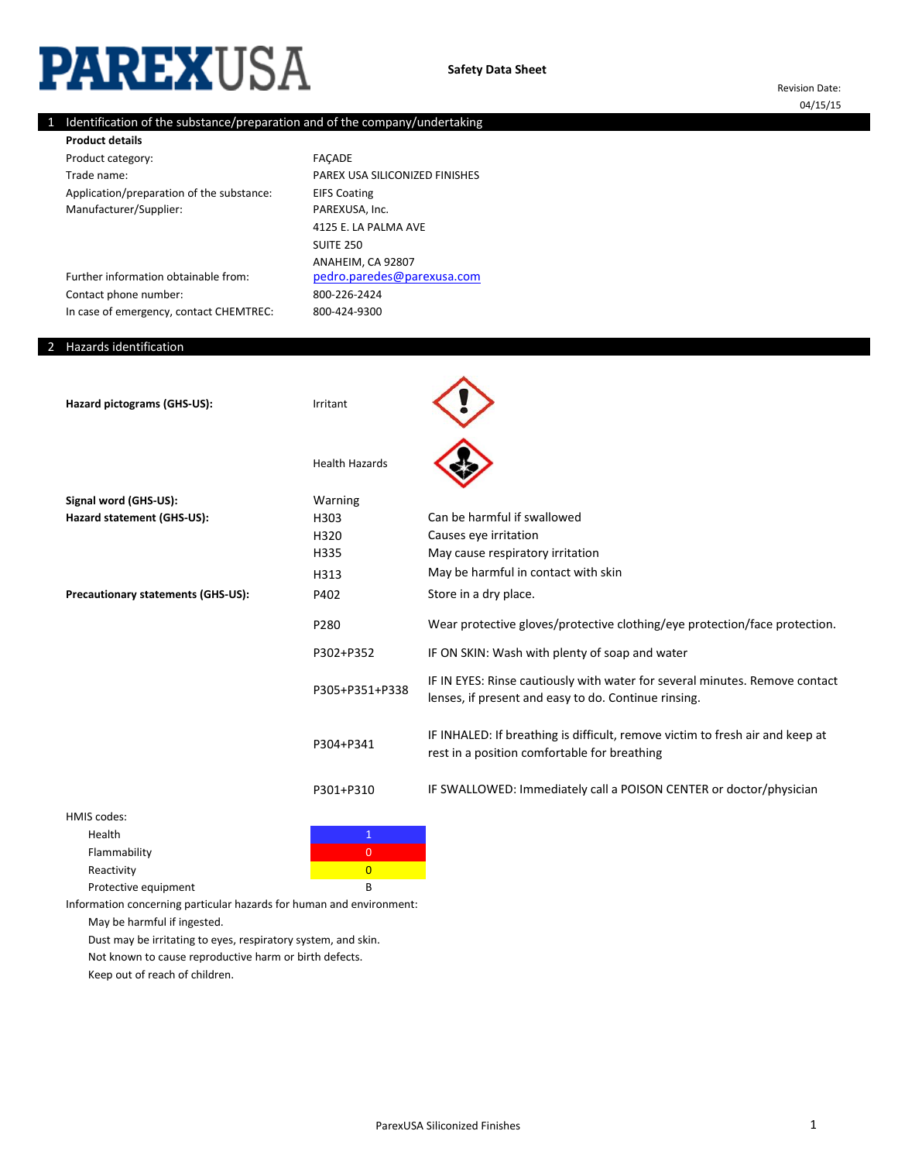# **PAREXUSA**

Revision Date: 04/15/15

# 1 Identification of the substance/preparation and of the company/undertaking

Product category: Trade name: Application/preparation of the substance: Manufacturer/Supplier: **Product details**

Further information obtainable from:

In case of emergency, contact CHEMTREC:

800-226-2424 FAÇADE PAREX USA SILICONIZED FINISHES EIFS Coating PAREXUSA, Inc. [pedro.paredes@pare](mailto:pedro.paredes@parexusa.com)xusa.com 4125 E. LA PALMA AVE SUITE 250 800-424-9300 ANAHEIM, CA 92807

Hazards identification

2

Contact phone number:

| Hazard pictograms (GHS-US):               | Irritant              |                                                                                                                                     |
|-------------------------------------------|-----------------------|-------------------------------------------------------------------------------------------------------------------------------------|
|                                           | <b>Health Hazards</b> |                                                                                                                                     |
| Signal word (GHS-US):                     | Warning               |                                                                                                                                     |
| Hazard statement (GHS-US):                | H303                  | Can be harmful if swallowed                                                                                                         |
|                                           | H320                  | Causes eye irritation                                                                                                               |
|                                           | H335                  | May cause respiratory irritation                                                                                                    |
|                                           | H313                  | May be harmful in contact with skin                                                                                                 |
| <b>Precautionary statements (GHS-US):</b> | P402                  | Store in a dry place.                                                                                                               |
|                                           | P280                  | Wear protective gloves/protective clothing/eye protection/face protection.                                                          |
|                                           | P302+P352             | IF ON SKIN: Wash with plenty of soap and water                                                                                      |
|                                           | P305+P351+P338        | IF IN EYES: Rinse cautiously with water for several minutes. Remove contact<br>lenses, if present and easy to do. Continue rinsing. |
|                                           | P304+P341             | IF INHALED: If breathing is difficult, remove victim to fresh air and keep at<br>rest in a position comfortable for breathing       |
|                                           | P301+P310             | IF SWALLOWED: Immediately call a POISON CENTER or doctor/physician                                                                  |
| HME code:                                 |                       |                                                                                                                                     |

HMIS codes: **Health** Flammability **Department of the Contract of Contract O** Reactivity **Contractivity** and the contraction of the contraction of the contraction of the contraction of the contraction of the contraction of the contraction of the contraction of the contraction of the contraction of t Protective equipment B

Information concerning particular hazards for human and environment:

May be harmful if ingested.

Dust may be irritating to eyes, respiratory system, and skin.

Not known to cause reproductive harm or birth defects.

Keep out of reach of children.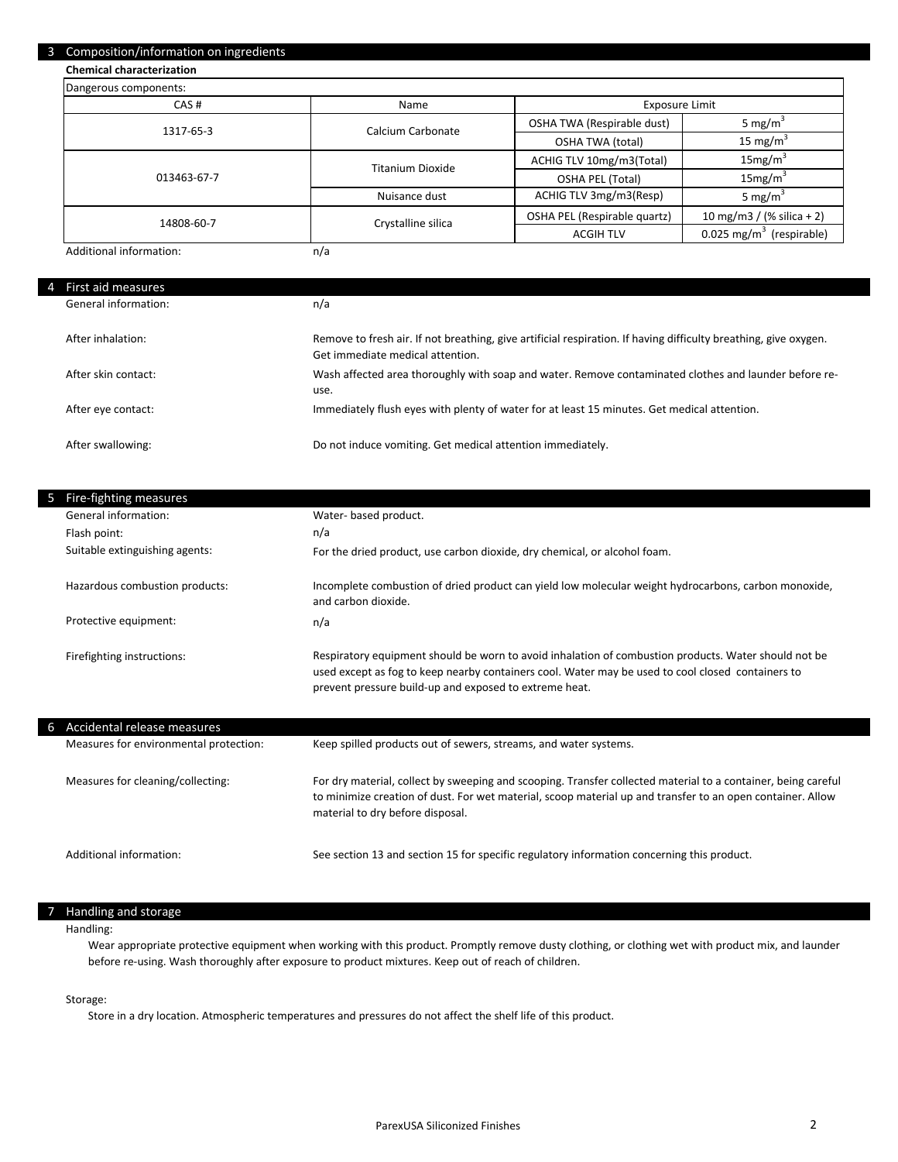#### 3 Composition/information on ingredients

**Chemical characterization**

| Dangerous components:   |                         |                              |                                      |
|-------------------------|-------------------------|------------------------------|--------------------------------------|
| CAS#                    | Name                    | Exposure Limit               |                                      |
| 1317-65-3               | Calcium Carbonate       | OSHA TWA (Respirable dust)   | 5 mg/m <sup>3</sup>                  |
|                         |                         | <b>OSHA TWA (total)</b>      | 15 mg/m <sup>3</sup>                 |
| 013463-67-7             | <b>Titanium Dioxide</b> | ACHIG TLV 10mg/m3(Total)     | 15mg/m <sup>3</sup>                  |
|                         |                         | OSHA PEL (Total)             | 15mg/m <sup>3</sup>                  |
|                         | Nuisance dust           | ACHIG TLV 3mg/m3(Resp)       | 5 mg/m <sup>3</sup>                  |
| 14808-60-7              | Crystalline silica      | OSHA PEL (Respirable quartz) | 10 mg/m3 / (% silica + 2)            |
|                         |                         | <b>ACGIH TLV</b>             | 0.025 mg/m <sup>3</sup> (respirable) |
| Additional information: | n/a                     |                              |                                      |

Additional information:

| First aid measures   |                                                                                                                                                      |
|----------------------|------------------------------------------------------------------------------------------------------------------------------------------------------|
| General information: | n/a                                                                                                                                                  |
| After inhalation:    | Remove to fresh air. If not breathing, give artificial respiration. If having difficulty breathing, give oxygen.<br>Get immediate medical attention. |
| After skin contact:  | Wash affected area thoroughly with soap and water. Remove contaminated clothes and launder before re-<br>use.                                        |
| After eye contact:   | Immediately flush eyes with plenty of water for at least 15 minutes. Get medical attention.                                                          |
| After swallowing:    | Do not induce vomiting. Get medical attention immediately.                                                                                           |

| -5 | Fire-fighting measures                 |                                                                                                                                                                                                                                                                     |
|----|----------------------------------------|---------------------------------------------------------------------------------------------------------------------------------------------------------------------------------------------------------------------------------------------------------------------|
|    | General information:                   | Water- based product.                                                                                                                                                                                                                                               |
|    | Flash point:                           | n/a                                                                                                                                                                                                                                                                 |
|    | Suitable extinguishing agents:         | For the dried product, use carbon dioxide, dry chemical, or alcohol foam.                                                                                                                                                                                           |
|    | Hazardous combustion products:         | Incomplete combustion of dried product can yield low molecular weight hydrocarbons, carbon monoxide,<br>and carbon dioxide.                                                                                                                                         |
|    | Protective equipment:                  | n/a                                                                                                                                                                                                                                                                 |
|    | Firefighting instructions:             | Respiratory equipment should be worn to avoid inhalation of combustion products. Water should not be<br>used except as fog to keep nearby containers cool. Water may be used to cool closed containers to<br>prevent pressure build-up and exposed to extreme heat. |
|    | Accidental release measures            |                                                                                                                                                                                                                                                                     |
|    | Measures for environmental protection: | Keep spilled products out of sewers, streams, and water systems.                                                                                                                                                                                                    |
|    | Measures for cleaning/collecting:      | For dry material, collect by sweeping and scooping. Transfer collected material to a container, being careful                                                                                                                                                       |

Additional information:

See section 13 and section 15 for specific regulatory information concerning this product.

to minimize creation of dust. For wet material, scoop material up and transfer to an open container. Allow

#### 7 Handling and storage

#### Handling:

Wear appropriate protective equipment when working with this product. Promptly remove dusty clothing, or clothing wet with product mix, and launder before re-using. Wash thoroughly after exposure to product mixtures. Keep out of reach of children.

# Storage:

Store in a dry location. Atmospheric temperatures and pressures do not affect the shelf life of this product.

material to dry before disposal.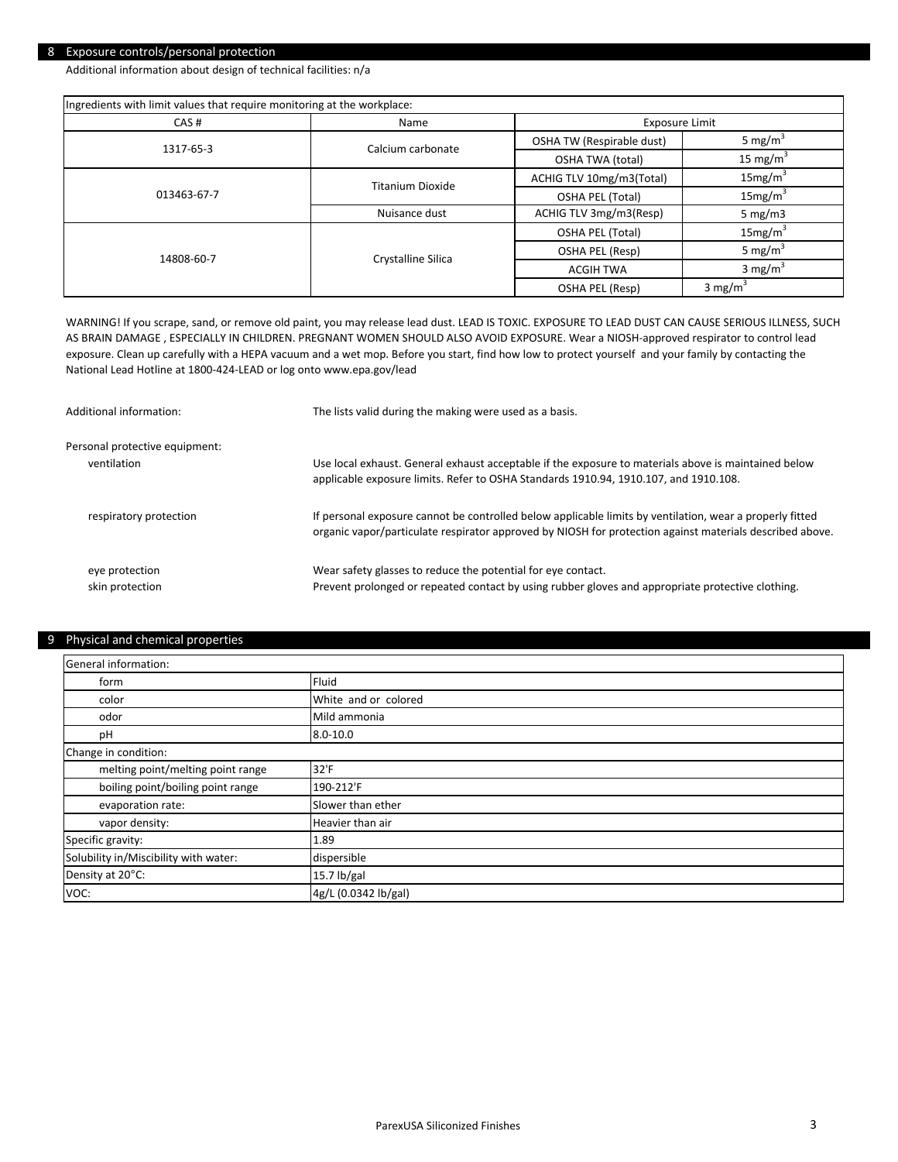## 8 Exposure controls/personal protection

Additional information about design of technical facilities: n/a

| Ingredients with limit values that require monitoring at the workplace: |                         |                           |                      |
|-------------------------------------------------------------------------|-------------------------|---------------------------|----------------------|
| CAS#                                                                    | Name                    | Exposure Limit            |                      |
| 1317-65-3                                                               | Calcium carbonate       | OSHA TW (Respirable dust) | 5 mg/m <sup>3</sup>  |
|                                                                         |                         | OSHA TWA (total)          | 15 mg/m <sup>3</sup> |
|                                                                         | <b>Titanium Dioxide</b> | ACHIG TLV 10mg/m3(Total)  | 15mg/m <sup>3</sup>  |
| 013463-67-7                                                             |                         | OSHA PEL (Total)          | 15mg/m <sup>3</sup>  |
|                                                                         | Nuisance dust           | ACHIG TLV 3mg/m3(Resp)    | 5 mg/m $3$           |
|                                                                         |                         | OSHA PEL (Total)          | 15mg/m <sup>3</sup>  |
| 14808-60-7                                                              | Crystalline Silica      | OSHA PEL (Resp)           | 5 mg/m <sup>3</sup>  |
|                                                                         |                         | <b>ACGIH TWA</b>          | 3 mg/m <sup>3</sup>  |
|                                                                         |                         | OSHA PEL (Resp)           | 3 mg/m <sup>3</sup>  |

WARNING! If you scrape, sand, or remove old paint, you may release lead dust. LEAD IS TOXIC. EXPOSURE TO LEAD DUST CAN CAUSE SERIOUS ILLNESS, SUCH AS BRAIN DAMAGE , ESPECIALLY IN CHILDREN. PREGNANT WOMEN SHOULD ALSO AVOID EXPOSURE. Wear a NIOSH-approved respirator to control lead exposure. Clean up carefully with a HEPA vacuum and a wet mop. Before you start, find how low to protect yourself and your family by contacting the National Lead Hotline at 1800-424-LEAD or log onto www.epa.gov/lead

| Additional information:        | The lists valid during the making were used as a basis.                                                                                                                                                              |
|--------------------------------|----------------------------------------------------------------------------------------------------------------------------------------------------------------------------------------------------------------------|
| Personal protective equipment: | Use local exhaust. General exhaust acceptable if the exposure to materials above is maintained below                                                                                                                 |
| ventilation                    | applicable exposure limits. Refer to OSHA Standards 1910.94, 1910.107, and 1910.108.                                                                                                                                 |
| respiratory protection         | If personal exposure cannot be controlled below applicable limits by ventilation, wear a properly fitted<br>organic vapor/particulate respirator approved by NIOSH for protection against materials described above. |
| eye protection                 | Wear safety glasses to reduce the potential for eye contact.                                                                                                                                                         |
| skin protection                | Prevent prolonged or repeated contact by using rubber gloves and appropriate protective clothing.                                                                                                                    |

#### 9 Physical and chemical properties

| General information:                  |                      |  |
|---------------------------------------|----------------------|--|
| form                                  | Fluid                |  |
| color                                 | White and or colored |  |
| odor                                  | Mild ammonia         |  |
| pH                                    | $8.0 - 10.0$         |  |
| Change in condition:                  |                      |  |
| melting point/melting point range     | 32'F                 |  |
| boiling point/boiling point range     | 190-212'F            |  |
| evaporation rate:                     | Slower than ether    |  |
| vapor density:                        | Heavier than air     |  |
| Specific gravity:                     | 1.89                 |  |
| Solubility in/Miscibility with water: | dispersible          |  |
| Density at 20°C:                      | 15.7 lb/gal          |  |
| VOC:                                  | 4g/L (0.0342 lb/gal) |  |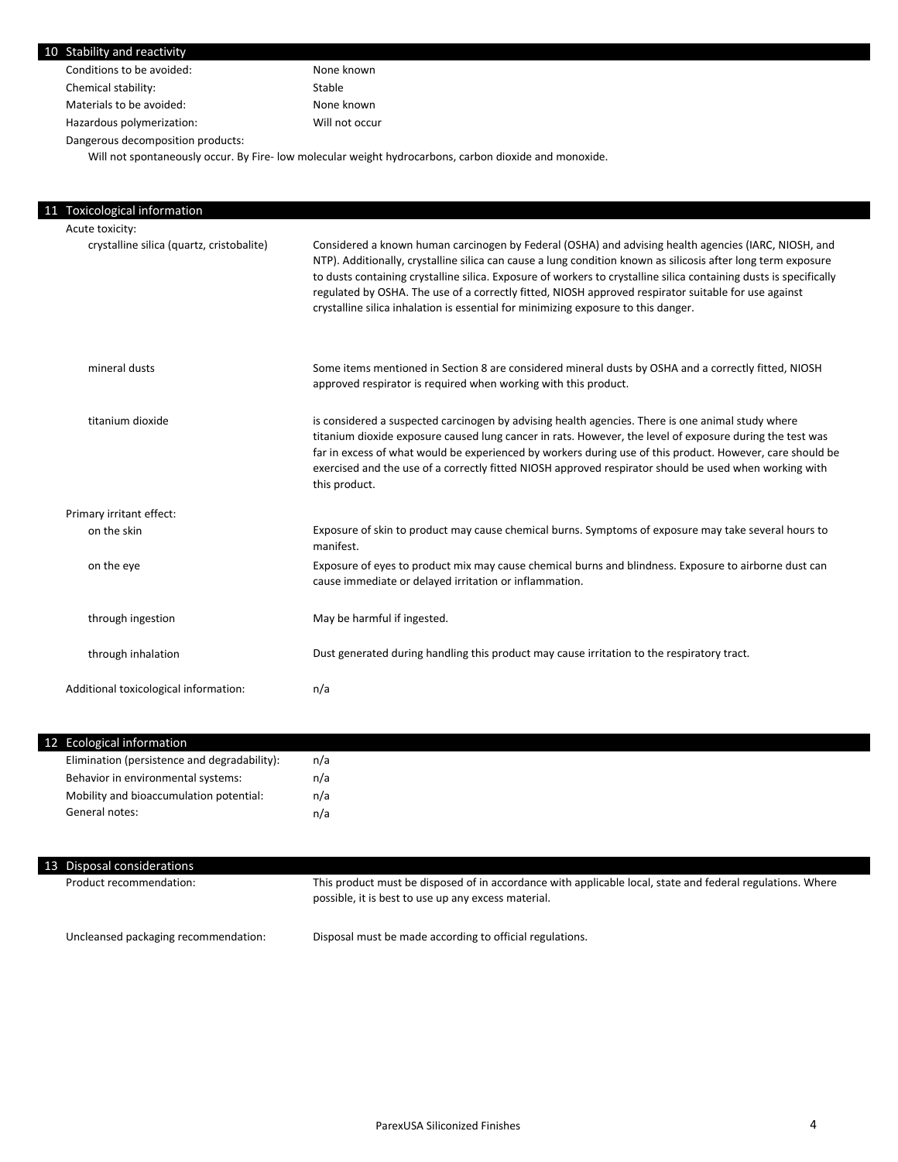| 10 Stability and reactivity               |                                                                                                                                                                                                                                                                                                                                                                                                                                                                                                                                           |
|-------------------------------------------|-------------------------------------------------------------------------------------------------------------------------------------------------------------------------------------------------------------------------------------------------------------------------------------------------------------------------------------------------------------------------------------------------------------------------------------------------------------------------------------------------------------------------------------------|
| Conditions to be avoided:                 | None known                                                                                                                                                                                                                                                                                                                                                                                                                                                                                                                                |
| Chemical stability:                       | Stable                                                                                                                                                                                                                                                                                                                                                                                                                                                                                                                                    |
| Materials to be avoided:                  | None known                                                                                                                                                                                                                                                                                                                                                                                                                                                                                                                                |
| Hazardous polymerization:                 | Will not occur                                                                                                                                                                                                                                                                                                                                                                                                                                                                                                                            |
| Dangerous decomposition products:         |                                                                                                                                                                                                                                                                                                                                                                                                                                                                                                                                           |
|                                           | Will not spontaneously occur. By Fire- low molecular weight hydrocarbons, carbon dioxide and monoxide.                                                                                                                                                                                                                                                                                                                                                                                                                                    |
|                                           |                                                                                                                                                                                                                                                                                                                                                                                                                                                                                                                                           |
|                                           |                                                                                                                                                                                                                                                                                                                                                                                                                                                                                                                                           |
| 11 Toxicological information              |                                                                                                                                                                                                                                                                                                                                                                                                                                                                                                                                           |
| Acute toxicity:                           |                                                                                                                                                                                                                                                                                                                                                                                                                                                                                                                                           |
| crystalline silica (quartz, cristobalite) | Considered a known human carcinogen by Federal (OSHA) and advising health agencies (IARC, NIOSH, and<br>NTP). Additionally, crystalline silica can cause a lung condition known as silicosis after long term exposure<br>to dusts containing crystalline silica. Exposure of workers to crystalline silica containing dusts is specifically<br>regulated by OSHA. The use of a correctly fitted, NIOSH approved respirator suitable for use against<br>crystalline silica inhalation is essential for minimizing exposure to this danger. |
| mineral dusts                             | Some items mentioned in Section 8 are considered mineral dusts by OSHA and a correctly fitted, NIOSH<br>approved respirator is required when working with this product.                                                                                                                                                                                                                                                                                                                                                                   |
| titanium dioxide                          | is considered a suspected carcinogen by advising health agencies. There is one animal study where<br>titanium dioxide exposure caused lung cancer in rats. However, the level of exposure during the test was<br>far in excess of what would be experienced by workers during use of this product. However, care should be<br>exercised and the use of a correctly fitted NIOSH approved respirator should be used when working with<br>this product.                                                                                     |
| Primary irritant effect:                  |                                                                                                                                                                                                                                                                                                                                                                                                                                                                                                                                           |
| on the skin                               | Exposure of skin to product may cause chemical burns. Symptoms of exposure may take several hours to                                                                                                                                                                                                                                                                                                                                                                                                                                      |

| 12 Ecological information                    |     |  |  |
|----------------------------------------------|-----|--|--|
| Elimination (persistence and degradability): | n/a |  |  |
| Behavior in environmental systems:           | n/a |  |  |
| Mobility and bioaccumulation potential:      | n/a |  |  |
| General notes:                               | n/a |  |  |
|                                              |     |  |  |

cause immediate or delayed irritation or inflammation.

through inhalation Dust generated during handling this product may cause irritation to the respiratory tract.

Exposure of eyes to product mix may cause chemical burns and blindness. Exposure to airborne dust can

manifest.

n/a

through ingestion measured in the May be harmful if ingested.

Additional toxicological information:

on the eye

| 13 Disposal considerations           |                                                                                                                                                                   |
|--------------------------------------|-------------------------------------------------------------------------------------------------------------------------------------------------------------------|
| Product recommendation:              | This product must be disposed of in accordance with applicable local, state and federal regulations. Where<br>possible, it is best to use up any excess material. |
| Uncleansed packaging recommendation: | Disposal must be made according to official regulations.                                                                                                          |